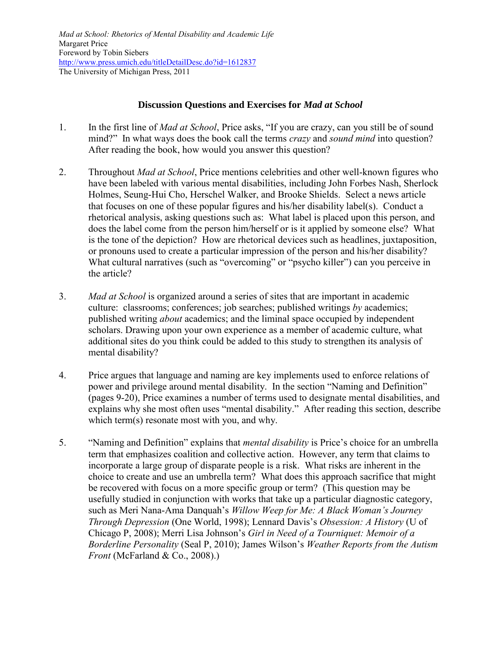## **Discussion Questions and Exercises for** *Mad at School*

- 1. In the first line of *Mad at School*, Price asks, "If you are crazy, can you still be of sound mind?" In what ways does the book call the terms *crazy* and *sound mind* into question? After reading the book, how would you answer this question?
- 2. Throughout *Mad at School*, Price mentions celebrities and other well-known figures who have been labeled with various mental disabilities, including John Forbes Nash, Sherlock Holmes, Seung-Hui Cho, Herschel Walker, and Brooke Shields. Select a news article that focuses on one of these popular figures and his/her disability label(s). Conduct a rhetorical analysis, asking questions such as: What label is placed upon this person, and does the label come from the person him/herself or is it applied by someone else? What is the tone of the depiction? How are rhetorical devices such as headlines, juxtaposition, or pronouns used to create a particular impression of the person and his/her disability? What cultural narratives (such as "overcoming" or "psycho killer") can you perceive in the article?
- 3. *Mad at School* is organized around a series of sites that are important in academic culture: classrooms; conferences; job searches; published writings *by* academics; published writing *about* academics; and the liminal space occupied by independent scholars. Drawing upon your own experience as a member of academic culture, what additional sites do you think could be added to this study to strengthen its analysis of mental disability?
- 4. Price argues that language and naming are key implements used to enforce relations of power and privilege around mental disability. In the section "Naming and Definition" (pages 9-20), Price examines a number of terms used to designate mental disabilities, and explains why she most often uses "mental disability." After reading this section, describe which term(s) resonate most with you, and why.
- 5. "Naming and Definition" explains that *mental disability* is Price"s choice for an umbrella term that emphasizes coalition and collective action. However, any term that claims to incorporate a large group of disparate people is a risk. What risks are inherent in the choice to create and use an umbrella term? What does this approach sacrifice that might be recovered with focus on a more specific group or term? (This question may be usefully studied in conjunction with works that take up a particular diagnostic category, such as Meri Nana-Ama Danquah"s *Willow Weep for Me: A Black Woman's Journey Through Depression* (One World, 1998); Lennard Davis"s *Obsession: A History* (U of Chicago P, 2008); Merri Lisa Johnson"s *Girl in Need of a Tourniquet: Memoir of a Borderline Personality* (Seal P, 2010); James Wilson"s *Weather Reports from the Autism Front* (McFarland & Co., 2008).)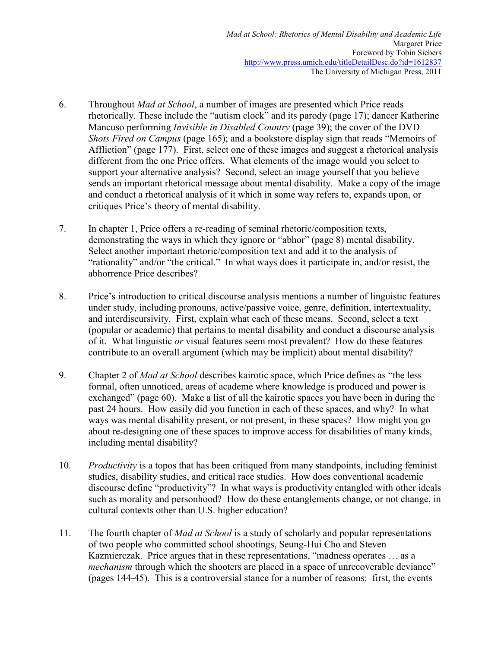- 6. Throughout *Mad at School*, a number of images are presented which Price reads rhetorically. These include the "autism clock" and its parody (page 17); dancer Katherine Mancuso performing *Invisible in Disabled Country* (page 39); the cover of the DVD *Shots Fired on Campus* (page 165); and a bookstore display sign that reads "Memoirs of Affliction" (page 177). First, select one of these images and suggest a rhetorical analysis different from the one Price offers. What elements of the image would you select to support your alternative analysis? Second, select an image yourself that you believe sends an important rhetorical message about mental disability. Make a copy of the image and conduct a rhetorical analysis of it which in some way refers to, expands upon, or critiques Price"s theory of mental disability.
- 7. In chapter 1, Price offers a re-reading of seminal rhetoric/composition texts, demonstrating the ways in which they ignore or "abhor" (page 8) mental disability. Select another important rhetoric/composition text and add it to the analysis of "rationality" and/or "the critical." In what ways does it participate in, and/or resist, the abhorrence Price describes?
- 8. Price"s introduction to critical discourse analysis mentions a number of linguistic features under study, including pronouns, active/passive voice, genre, definition, intertextuality, and interdiscursivity. First, explain what each of these means. Second, select a text (popular or academic) that pertains to mental disability and conduct a discourse analysis of it. What linguistic *or* visual features seem most prevalent? How do these features contribute to an overall argument (which may be implicit) about mental disability?
- 9. Chapter 2 of *Mad at School* describes kairotic space, which Price defines as "the less formal, often unnoticed, areas of academe where knowledge is produced and power is exchanged" (page 60). Make a list of all the kairotic spaces you have been in during the past 24 hours. How easily did you function in each of these spaces, and why? In what ways was mental disability present, or not present, in these spaces? How might you go about re-designing one of these spaces to improve access for disabilities of many kinds, including mental disability?
- 10. *Productivity* is a topos that has been critiqued from many standpoints, including feminist studies, disability studies, and critical race studies. How does conventional academic discourse define "productivity"? In what ways is productivity entangled with other ideals such as morality and personhood? How do these entanglements change, or not change, in cultural contexts other than U.S. higher education?
- 11. The fourth chapter of *Mad at School* is a study of scholarly and popular representations of two people who committed school shootings, Seung-Hui Cho and Steven Kazmierczak. Price argues that in these representations, "madness operates … as a *mechanism* through which the shooters are placed in a space of unrecoverable deviance" (pages 144-45). This is a controversial stance for a number of reasons: first, the events